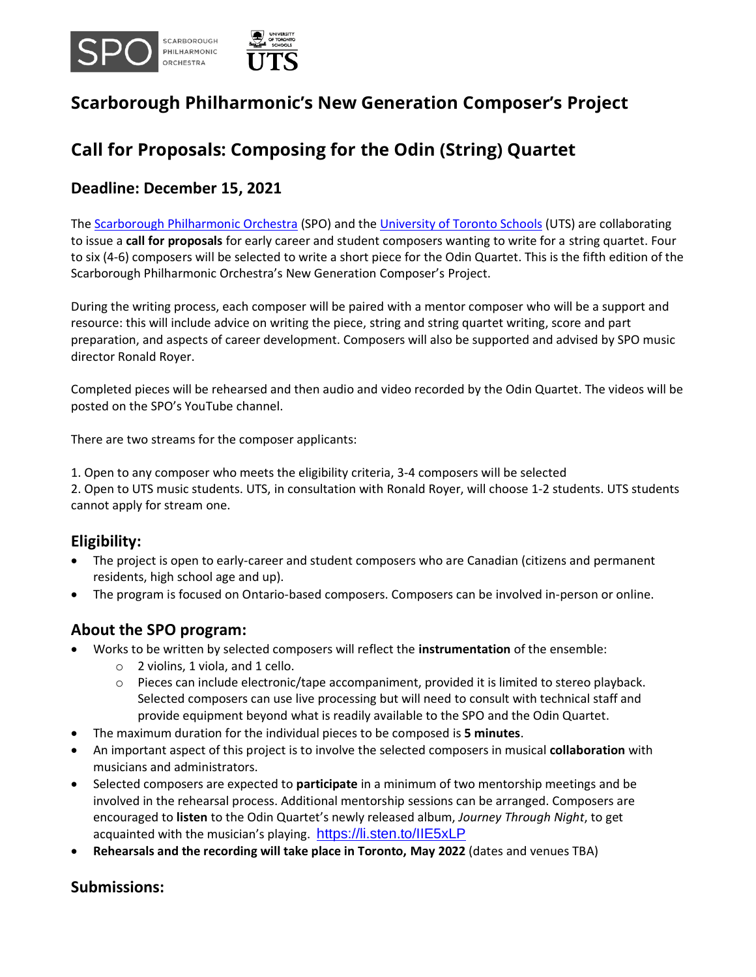

# **Scarborough Philharmonic's New Generation Composer's Project**

# **Call for Proposals: Composing for the Odin (String) Quartet**

#### **Deadline: December 15, 2021**

Th[e Scarborough Philharmonic Orchestra](https://www.spo.ca/) (SPO) and the [University of Toronto Schools](https://www.utschools.ca/) (UTS) are collaborating to issue a **call for proposals** for early career and student composers wanting to write for a string quartet. Four to six (4-6) composers will be selected to write a short piece for the Odin Quartet. This is the fifth edition of the Scarborough Philharmonic Orchestra's New Generation Composer's Project.

During the writing process, each composer will be paired with a mentor composer who will be a support and resource: this will include advice on writing the piece, string and string quartet writing, score and part preparation, and aspects of career development. Composers will also be supported and advised by SPO music director Ronald Royer.

Completed pieces will be rehearsed and then audio and video recorded by the Odin Quartet. The videos will be posted on the SPO's YouTube channel.

There are two streams for the composer applicants:

1. Open to any composer who meets the eligibility criteria, 3-4 composers will be selected 2. Open to UTS music students. UTS, in consultation with Ronald Royer, will choose 1-2 students. UTS students cannot apply for stream one.

#### **Eligibility:**

- The project is open to early-career and student composers who are Canadian (citizens and permanent residents, high school age and up).
- The program is focused on Ontario-based composers. Composers can be involved in-person or online.

#### **About the SPO program:**

- Works to be written by selected composers will reflect the **instrumentation** of the ensemble:
	- $\circ$  2 violins, 1 viola, and 1 cello.
	- $\circ$  Pieces can include electronic/tape accompaniment, provided it is limited to stereo playback. Selected composers can use live processing but will need to consult with technical staff and provide equipment beyond what is readily available to the SPO and the Odin Quartet.
- The maximum duration for the individual pieces to be composed is **5 minutes**.
- An important aspect of this project is to involve the selected composers in musical **collaboration** with musicians and administrators.
- Selected composers are expected to **participate** in a minimum of two mentorship meetings and be involved in the rehearsal process. Additional mentorship sessions can be arranged. Composers are encouraged to **listen** to the Odin Quartet's newly released album, *Journey Through Night*, to get acquainted with the musician's playing. <https://li.sten.to/IIE5xLP>
- **Rehearsals and the recording will take place in Toronto, May 2022** (dates and venues TBA)

#### **Submissions:**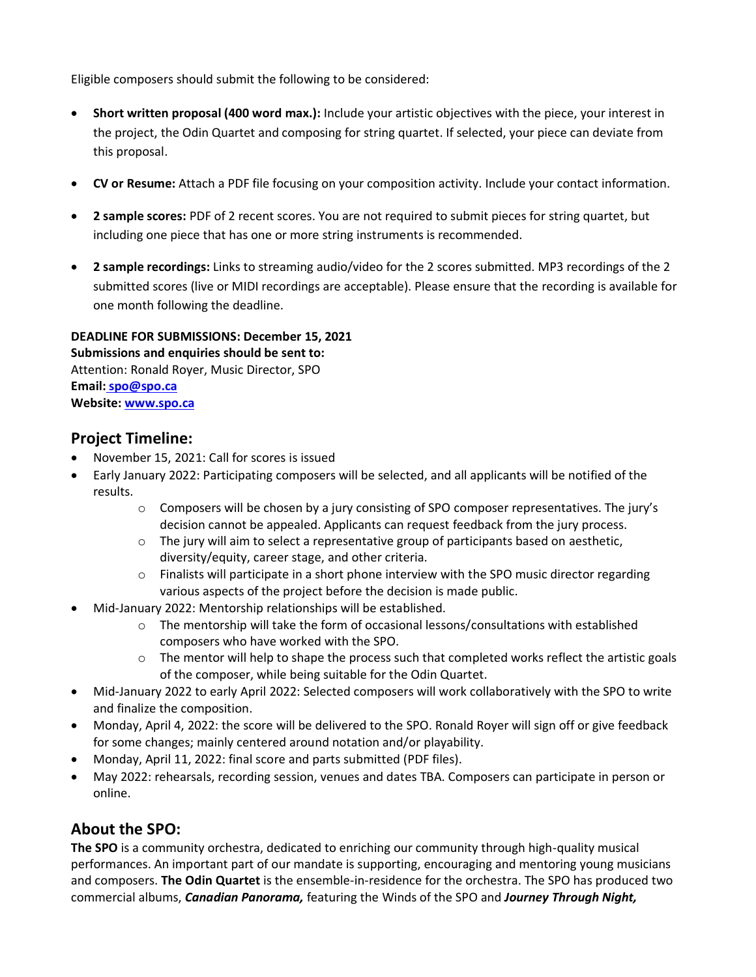Eligible composers should submit the following to be considered:

- **Short written proposal (400 word max.):** Include your artistic objectives with the piece, your interest in the project, the Odin Quartet and composing for string quartet. If selected, your piece can deviate from this proposal.
- **CV or Resume:** Attach a PDF file focusing on your composition activity. Include your contact information.
- **2 sample scores:** PDF of 2 recent scores. You are not required to submit pieces for string quartet, but including one piece that has one or more string instruments is recommended.
- **2 sample recordings:** Links to streaming audio/video for the 2 scores submitted. MP3 recordings of the 2 submitted scores (live or MIDI recordings are acceptable). Please ensure that the recording is available for one month following the deadline.

#### **DEADLINE FOR SUBMISSIONS: December 15, 2021 Submissions and enquiries should be sent to:** Attention: Ronald Royer, Music Director, SPO **Email: [spo@spo.ca](mailto:spo@spo.ca) Website: [www.spo.ca](http://www.spo.ca/)**

### **Project Timeline:**

- November 15, 2021: Call for scores is issued
- Early January 2022: Participating composers will be selected, and all applicants will be notified of the results.
	- o Composers will be chosen by a jury consisting of SPO composer representatives. The jury's decision cannot be appealed. Applicants can request feedback from the jury process.
	- o The jury will aim to select a representative group of participants based on aesthetic, diversity/equity, career stage, and other criteria.
	- o Finalists will participate in a short phone interview with the SPO music director regarding various aspects of the project before the decision is made public.
- Mid-January 2022: Mentorship relationships will be established.
	- o The mentorship will take the form of occasional lessons/consultations with established composers who have worked with the SPO.
	- o The mentor will help to shape the process such that completed works reflect the artistic goals of the composer, while being suitable for the Odin Quartet.
- Mid-January 2022 to early April 2022: Selected composers will work collaboratively with the SPO to write and finalize the composition.
- Monday, April 4, 2022: the score will be delivered to the SPO. Ronald Royer will sign off or give feedback for some changes; mainly centered around notation and/or playability.
- Monday, April 11, 2022: final score and parts submitted (PDF files).
- May 2022: rehearsals, recording session, venues and dates TBA. Composers can participate in person or online.

### **About the SPO:**

**The SPO** is a community orchestra, dedicated to enriching our community through high-quality musical performances. An important part of our mandate is supporting, encouraging and mentoring young musicians and composers. **The Odin Quartet** is the ensemble-in-residence for the orchestra. The SPO has produced two commercial albums, *Canadian Panorama,* featuring the Winds of the SPO and *Journey Through Night,*